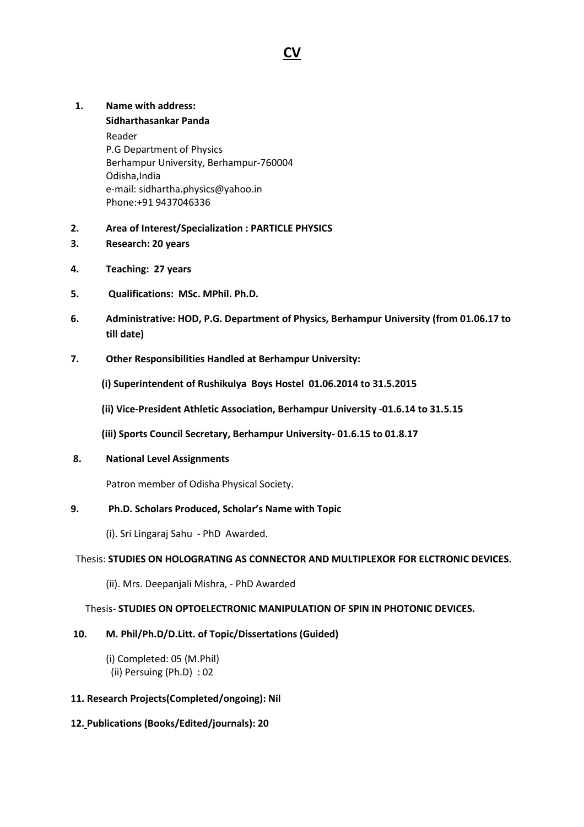# **CV**

#### **1. Name with address:**

**Sidharthasankar Panda**  Reader P.G Department of Physics Berhampur University, Berhampur-760004 Odisha,India e-mail: sidhartha.physics@yahoo.in Phone:+91 9437046336

- **2. Area of Interest/Specialization : PARTICLE PHYSICS**
- **3. Research: 20 years**
- **4. Teaching: 27 years**
- **5. Qualifications: MSc. MPhil. Ph.D.**
- **6. Administrative: HOD, P.G. Department of Physics, Berhampur University (from 01.06.17 to till date)**
- **7. Other Responsibilities Handled at Berhampur University:** 
	- **(i) Superintendent of Rushikulya Boys Hostel 01.06.2014 to 31.5.2015**
	- **(ii) Vice-President Athletic Association, Berhampur University -01.6.14 to 31.5.15**
	- **(iii) Sports Council Secretary, Berhampur University- 01.6.15 to 01.8.17**

### **8. National Level Assignments**

Patron member of Odisha Physical Society.

#### **9. Ph.D. Scholars Produced, Scholar's Name with Topic**

(i). Sri Lingaraj Sahu - PhD Awarded.

## Thesis: **STUDIES ON HOLOGRATING AS CONNECTOR AND MULTIPLEXOR FOR ELCTRONIC DEVICES.**

(ii). Mrs. Deepanjali Mishra, - PhD Awarded

#### Thesis- **STUDIES ON OPTOELECTRONIC MANIPULATION OF SPIN IN PHOTONIC DEVICES.**

## **10. M. Phil/Ph.D/D.Litt. of Topic/Dissertations (Guided)**

 (i) Completed: 05 (M.Phil) (ii) Persuing (Ph.D) : 02

## **11. Research Projects(Completed/ongoing): Nil**

## **12. Publications (Books/Edited/journals): 20**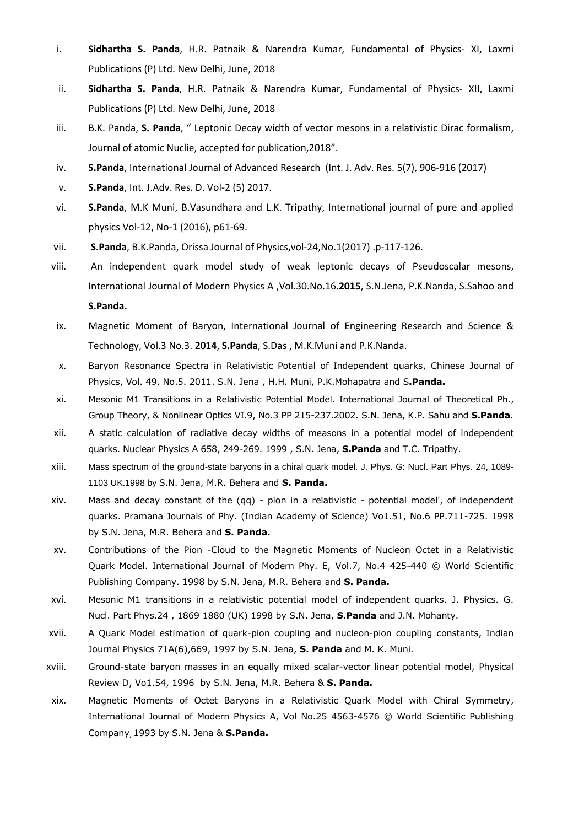- i. **Sidhartha S. Panda**, H.R. Patnaik & Narendra Kumar, Fundamental of Physics- XI, Laxmi Publications (P) Ltd. New Delhi, June, 2018
- ii. **Sidhartha S. Panda**, H.R. Patnaik & Narendra Kumar, Fundamental of Physics- XII, Laxmi Publications (P) Ltd. New Delhi, June, 2018
- iii. B.K. Panda, **S. Panda**, " Leptonic Decay width of vector mesons in a relativistic Dirac formalism, Journal of atomic Nuclie, accepted for publication,2018".
- iv. **S.Panda**, International Journal of Advanced Research (Int. J. Adv. Res. 5(7), 906-916 (2017)
- v. **S.Panda**, Int. J.Adv. Res. D. Vol-2 (5) 2017.
- vi. **S.Panda**, M.K Muni, B.Vasundhara and L.K. Tripathy, International journal of pure and applied physics Vol-12, No-1 (2016), p61-69.
- vii. **S.Panda**, B.K.Panda, Orissa Journal of Physics,vol-24,No.1(2017) .p-117-126.
- viii. An independent quark model study of weak leptonic decays of Pseudoscalar mesons, International Journal of Modern Physics A ,Vol.30.No.16.**2015**, S.N.Jena, P.K.Nanda, S.Sahoo and

#### **S.Panda.**

- ix. Magnetic Moment of Baryon, International Journal of Engineering Research and Science & Technology, Vol.3 No.3. **2014**, **S.Panda**, S.Das , M.K.Muni and P.K.Nanda.
- x. Baryon Resonance Spectra in Relativistic Potential of Independent quarks, Chinese Journal of Physics, Vol. 49. No.5. 2011. S.N. Jena , H.H. Muni, P.K.Mohapatra and S**.Panda.**
- xi. Mesonic M1 Transitions in a Relativistic Potential Model. International Journal of Theoretical Ph., Group Theory, & Nonlinear Optics VI.9, No.3 PP 215-237.2002. S.N. Jena, K.P. Sahu and **S.Panda**.
- xii. A static calculation of radiative decay widths of measons in a potential model of independent quarks. Nuclear Physics A 658, 249-269. 1999 , S.N. Jena, **S.Panda** and T.C. Tripathy.
- xiii. Mass spectrum of the ground-state baryons in a chiral quark model. J. Phys. G: Nucl. Part Phys. 24, 1089- 1103 UK.1998 by S.N. Jena, M.R. Behera and **S. Panda.**
- xiv. Mass and decay constant of the (qq) pion in a relativistic potential model', of independent quarks. Pramana Journals of Phy. (Indian Academy of Science) Vo1.51, No.6 PP.711-725. 1998 by S.N. Jena, M.R. Behera and **S. Panda.**
- xv. Contributions of the Pion -Cloud to the Magnetic Moments of Nucleon Octet in a Relativistic Quark Model. International Journal of Modern Phy. E, Vol.7, No.4 425-440 © World Scientific Publishing Company. 1998 by S.N. Jena, M.R. Behera and **S. Panda.**
- xvi. Mesonic M1 transitions in a relativistic potential model of independent quarks. J. Physics. G. Nucl. Part Phys.24 , 1869 1880 (UK) 1998 by S.N. Jena, **S.Panda** and J.N. Mohanty.
- xvii. A Quark Model estimation of quark-pion coupling and nucleon-pion coupling constants, Indian Journal Physics 71A(6),669, 1997 by S.N. Jena, **S. Panda** and M. K. Muni.
- xviii. Ground-state baryon masses in an equally mixed scalar-vector linear potential model, Physical Review D, Vo1.54, 1996 by S.N. Jena, M.R. Behera & **S. Panda.**
- xix. Magnetic Moments of Octet Baryons in a Relativistic Quark Model with Chiral Symmetry, International Journal of Modern Physics A, Vol No.25 4563-4576 © World Scientific Publishing Company, 1993 by S.N. Jena & **S.Panda.**